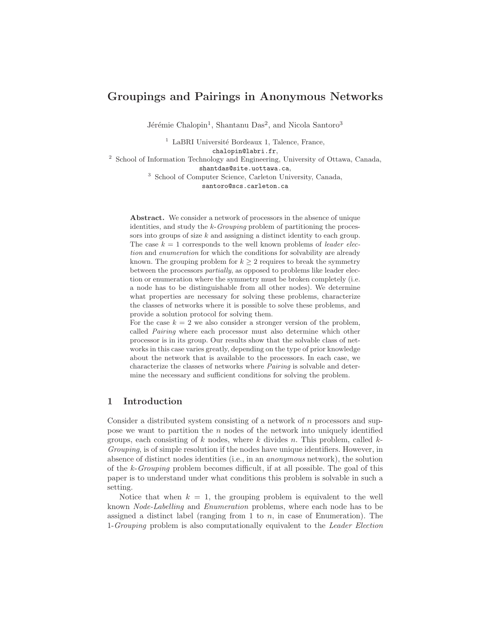# Groupings and Pairings in Anonymous Networks

Jérémie Chalopin<sup>1</sup>, Shantanu Das<sup>2</sup>, and Nicola Santoro<sup>3</sup>

 $1$  LaBRI Université Bordeaux 1, Talence, France,

chalopin@labri.fr,

<sup>2</sup> School of Information Technology and Engineering, University of Ottawa, Canada,

shantdas@site.uottawa.ca,

<sup>3</sup> School of Computer Science, Carleton University, Canada, santoro@scs.carleton.ca

Abstract. We consider a network of processors in the absence of unique identities, and study the k-Grouping problem of partitioning the processors into groups of size  $k$  and assigning a distinct identity to each group. The case  $k = 1$  corresponds to the well known problems of *leader elec*tion and enumeration for which the conditions for solvability are already known. The grouping problem for  $k \geq 2$  requires to break the symmetry between the processors partially, as opposed to problems like leader election or enumeration where the symmetry must be broken completely (i.e. a node has to be distinguishable from all other nodes). We determine what properties are necessary for solving these problems, characterize the classes of networks where it is possible to solve these problems, and provide a solution protocol for solving them.

For the case  $k = 2$  we also consider a stronger version of the problem, called Pairing where each processor must also determine which other processor is in its group. Our results show that the solvable class of networks in this case varies greatly, depending on the type of prior knowledge about the network that is available to the processors. In each case, we characterize the classes of networks where Pairing is solvable and determine the necessary and sufficient conditions for solving the problem.

# 1 Introduction

Consider a distributed system consisting of a network of n processors and suppose we want to partition the  $n$  nodes of the network into uniquely identified groups, each consisting of k nodes, where k divides n. This problem, called  $k$ -Grouping, is of simple resolution if the nodes have unique identifiers. However, in absence of distinct nodes identities (i.e., in an anonymous network), the solution of the k-Grouping problem becomes difficult, if at all possible. The goal of this paper is to understand under what conditions this problem is solvable in such a setting.

Notice that when  $k = 1$ , the grouping problem is equivalent to the well known Node-Labelling and Enumeration problems, where each node has to be assigned a distinct label (ranging from 1 to  $n$ , in case of Enumeration). The 1-Grouping problem is also computationally equivalent to the Leader Election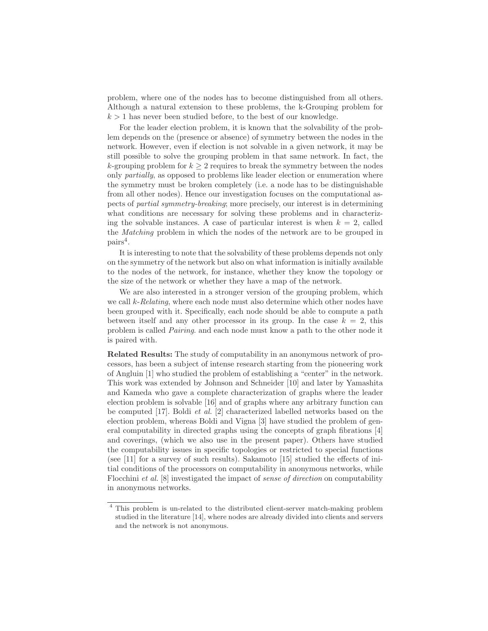problem, where one of the nodes has to become distinguished from all others. Although a natural extension to these problems, the k-Grouping problem for  $k > 1$  has never been studied before, to the best of our knowledge.

For the leader election problem, it is known that the solvability of the problem depends on the (presence or absence) of symmetry between the nodes in the network. However, even if election is not solvable in a given network, it may be still possible to solve the grouping problem in that same network. In fact, the k-grouping problem for  $k \geq 2$  requires to break the symmetry between the nodes only partially, as opposed to problems like leader election or enumeration where the symmetry must be broken completely (i.e. a node has to be distinguishable from all other nodes). Hence our investigation focuses on the computational aspects of partial symmetry-breaking; more precisely, our interest is in determining what conditions are necessary for solving these problems and in characterizing the solvable instances. A case of particular interest is when  $k = 2$ , called the Matching problem in which the nodes of the network are to be grouped in pairs<sup>4</sup> .

It is interesting to note that the solvability of these problems depends not only on the symmetry of the network but also on what information is initially available to the nodes of the network, for instance, whether they know the topology or the size of the network or whether they have a map of the network.

We are also interested in a stronger version of the grouping problem, which we call k-Relating, where each node must also determine which other nodes have been grouped with it. Specifically, each node should be able to compute a path between itself and any other processor in its group. In the case  $k = 2$ , this problem is called Pairing. and each node must know a path to the other node it is paired with.

Related Results: The study of computability in an anonymous network of processors, has been a subject of intense research starting from the pioneering work of Angluin [1] who studied the problem of establishing a "center" in the network. This work was extended by Johnson and Schneider [10] and later by Yamashita and Kameda who gave a complete characterization of graphs where the leader election problem is solvable [16] and of graphs where any arbitrary function can be computed [17]. Boldi et al. [2] characterized labelled networks based on the election problem, whereas Boldi and Vigna [3] have studied the problem of general computability in directed graphs using the concepts of graph fibrations [4] and coverings, (which we also use in the present paper). Others have studied the computability issues in specific topologies or restricted to special functions (see [11] for a survey of such results). Sakamoto [15] studied the effects of initial conditions of the processors on computability in anonymous networks, while Flocchini et al. [8] investigated the impact of sense of direction on computability in anonymous networks.

<sup>4</sup> This problem is un-related to the distributed client-server match-making problem studied in the literature [14], where nodes are already divided into clients and servers and the network is not anonymous.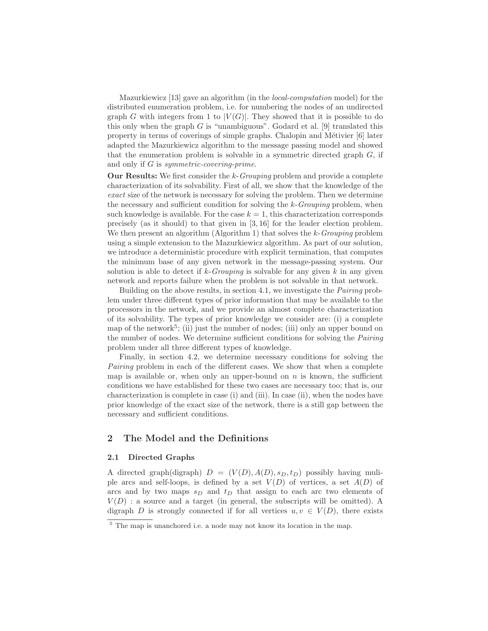Mazurkiewicz [13] gave an algorithm (in the local-computation model) for the distributed enumeration problem, i.e. for numbering the nodes of an undirected graph G with integers from 1 to  $|V(G)|$ . They showed that it is possible to do this only when the graph  $G$  is "unambiguous". Godard et al. [9] translated this property in terms of coverings of simple graphs. Chalopin and Métivier [6] later adapted the Mazurkiewicz algorithm to the message passing model and showed that the enumeration problem is solvable in a symmetric directed graph  $G$ , if and only if G is symmetric-covering-prime.

**Our Results:** We first consider the  $k$ -Grouping problem and provide a complete characterization of its solvability. First of all, we show that the knowledge of the exact size of the network is necessary for solving the problem. Then we determine the necessary and sufficient condition for solving the  $k$ -Grouping problem, when such knowledge is available. For the case  $k = 1$ , this characterization corresponds precisely (as it should) to that given in [3, 16] for the leader election problem. We then present an algorithm (Algorithm 1) that solves the  $k$ -Grouping problem using a simple extension to the Mazurkiewicz algorithm. As part of our solution, we introduce a deterministic procedure with explicit termination, that computes the minimum base of any given network in the message-passing system. Our solution is able to detect if  $k$ -Grouping is solvable for any given k in any given network and reports failure when the problem is not solvable in that network.

Building on the above results, in section 4.1, we investigate the Pairing problem under three different types of prior information that may be available to the processors in the network, and we provide an almost complete characterization of its solvability. The types of prior knowledge we consider are: (i) a complete map of the network<sup>5</sup>; (ii) just the number of nodes; (iii) only an upper bound on the number of nodes. We determine sufficient conditions for solving the Pairing problem under all three different types of knowledge.

Finally, in section 4.2, we determine necessary conditions for solving the Pairing problem in each of the different cases. We show that when a complete map is available or, when only an upper-bound on  $n$  is known, the sufficient conditions we have established for these two cases are necessary too; that is, our characterization is complete in case (i) and (iii). In case (ii), when the nodes have prior knowledge of the exact size of the network, there is a still gap between the necessary and sufficient conditions.

## 2 The Model and the Definitions

#### 2.1 Directed Graphs

A directed graph(digraph)  $D = (V(D), A(D), s_D, t_D)$  possibly having muliple arcs and self-loops, is defined by a set  $V(D)$  of vertices, a set  $A(D)$  of arcs and by two maps  $s_D$  and  $t_D$  that assign to each arc two elements of  $V(D)$ : a source and a target (in general, the subscripts will be omitted). A digraph D is strongly connected if for all vertices  $u, v \in V(D)$ , there exists

<sup>&</sup>lt;sup>5</sup> The map is unanchored i.e. a node may not know its location in the map.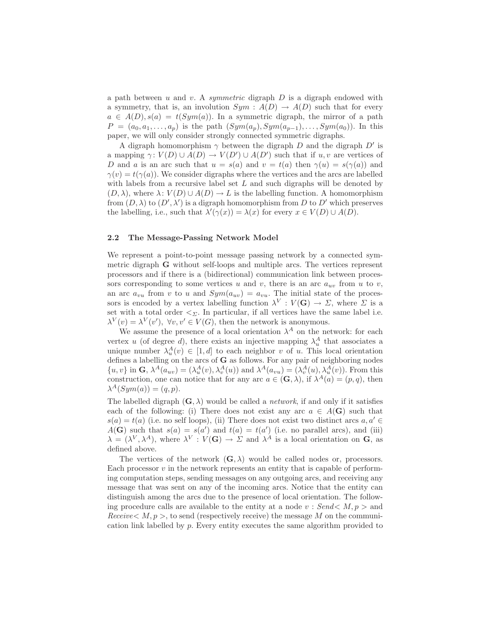a path between  $u$  and  $v$ . A *symmetric* digraph  $D$  is a digraph endowed with a symmetry, that is, an involution  $Sym : A(D) \rightarrow A(D)$  such that for every  $a \in A(D), s(a) = t(Sym(a)).$  In a symmetric digraph, the mirror of a path  $P = (a_0, a_1, \ldots, a_p)$  is the path  $(Sym(a_p), Sym(a_{p-1}), \ldots, Sym(a_0))$ . In this paper, we will only consider strongly connected symmetric digraphs.

A digraph homomorphism  $\gamma$  between the digraph D and the digraph D' is a mapping  $\gamma: V(D) \cup A(D) \to V(D') \cup A(D')$  such that if  $u, v$  are vertices of D and a is an arc such that  $u = s(a)$  and  $v = t(a)$  then  $\gamma(u) = s(\gamma(a))$  and  $\gamma(v) = t(\gamma(a))$ . We consider digraphs where the vertices and the arcs are labelled with labels from a recursive label set  $L$  and such digraphs will be denoted by  $(D, \lambda)$ , where  $\lambda: V(D) \cup A(D) \to L$  is the labelling function. A homomorphism from  $(D, \lambda)$  to  $(D', \lambda')$  is a digraph homomorphism from D to D' which preserves the labelling, i.e., such that  $\lambda'(\gamma(x)) = \lambda(x)$  for every  $x \in V(D) \cup A(D)$ .

#### 2.2 The Message-Passing Network Model

We represent a point-to-point message passing network by a connected symmetric digraph G without self-loops and multiple arcs. The vertices represent processors and if there is a (bidirectional) communication link between processors corresponding to some vertices u and v, there is an arc  $a_{uv}$  from u to v, an arc  $a_{vu}$  from v to u and  $Sym(a_{uv}) = a_{vu}$ . The initial state of the processors is encoded by a vertex labelling function  $\lambda^V : V(G) \to \Sigma$ , where  $\Sigma$  is a set with a total order  $\langle \Sigma \rangle$ . In particular, if all vertices have the same label i.e.  $\lambda^V(v) = \lambda^V(v'), \ \forall v, v' \in V(G)$ , then the network is anonymous.

We assume the presence of a local orientation  $\lambda^A$  on the network: for each vertex u (of degree d), there exists an injective mapping  $\lambda_u^A$  that associates a unique number  $\lambda_u^A(v) \in [1, d]$  to each neighbor v of u. This local orientation defines a labelling on the arcs of G as follows. For any pair of neighboring nodes  $\{u, v\}$  in **G**,  $\lambda^A(a_{uv}) = (\lambda^A_u(v), \lambda^A_v(u))$  and  $\lambda^A(a_{vu}) = (\lambda^A_v(u), \lambda^A_u(v))$ . From this construction, one can notice that for any arc  $a \in (\mathbf{G}, \lambda)$ , if  $\lambda^A(a) = (p, q)$ , then  $\lambda^A(Sym(a)) = (q, p).$ 

The labelled digraph  $(G, \lambda)$  would be called a *network*, if and only if it satisfies each of the following: (i) There does not exist any arc  $a \in A(G)$  such that  $s(a) = t(a)$  (i.e. no self loops), (ii) There does not exist two distinct arcs  $a, a' \in$  $A(\mathbf{G})$  such that  $s(a) = s(a')$  and  $t(a) = t(a')$  (i.e. no parallel arcs), and (iii)  $\lambda = (\lambda^V, \lambda^A)$ , where  $\lambda^V : V(G) \to \Sigma$  and  $\lambda^A$  is a local orientation on G, as defined above.

The vertices of the network  $(G, \lambda)$  would be called nodes or, processors. Each processor  $v$  in the network represents an entity that is capable of performing computation steps, sending messages on any outgoing arcs, and receiving any message that was sent on any of the incoming arcs. Notice that the entity can distinguish among the arcs due to the presence of local orientation. The following procedure calls are available to the entity at a node  $v : Send < M, p >$  and Receive  $\leq M, p >$ , to send (respectively receive) the message M on the communication link labelled by p. Every entity executes the same algorithm provided to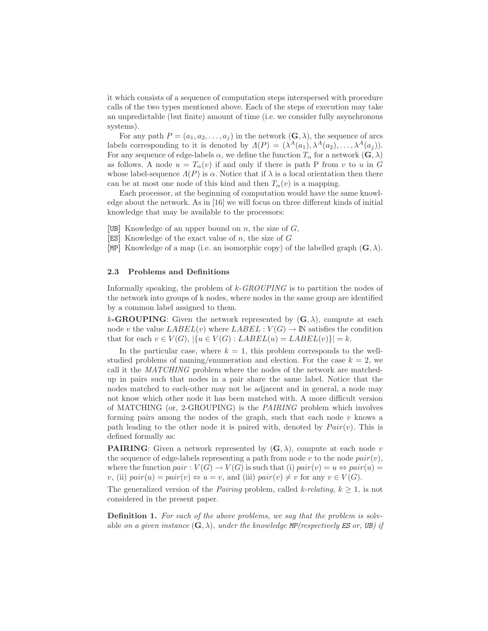it which consists of a sequence of computation steps interspersed with procedure calls of the two types mentioned above. Each of the steps of execution may take an unpredictable (but finite) amount of time (i.e. we consider fully asynchronous systems).

For any path  $P = (a_1, a_2, \ldots, a_i)$  in the network  $(G, \lambda)$ , the sequence of arcs labels corresponding to it is denoted by  $\Lambda(P) = (\lambda^A(a_1), \lambda^A(a_2), \ldots, \lambda^A(a_j)).$ For any sequence of edge-labels  $\alpha$ , we define the function  $T_{\alpha}$  for a network  $(G, \lambda)$ as follows. A node  $u = T_\alpha(v)$  if and only if there is path P from v to u in G whose label-sequence  $\Lambda(P)$  is  $\alpha$ . Notice that if  $\lambda$  is a local orientation then there can be at most one node of this kind and then  $T_{\alpha}(v)$  is a mapping.

Each processor, at the beginning of computation would have the same knowledge about the network. As in [16] we will focus on three different kinds of initial knowledge that may be available to the processors:

- [UB] Knowledge of an upper bound on  $n$ , the size of  $G$ ,
- [ES] Knowledge of the exact value of  $n$ , the size of  $G$
- [MP] Knowledge of a map (i.e. an isomorphic copy) of the labelled graph  $(G, \lambda)$ .

#### 2.3 Problems and Definitions

Informally speaking, the problem of  $k$ -GROUPING is to partition the nodes of the network into groups of k nodes, where nodes in the same group are identified by a common label assigned to them.

k-GROUPING: Given the network represented by  $(G, \lambda)$ , compute at each node v the value  $LABEL(v)$  where  $LABEL : V(G) \to \mathbb{N}$  satisfies the condition that for each  $v \in V(G)$ ,  $|\{u \in V(G) : LABEL(u) = LABEL(v)\}| = k$ .

In the particular case, where  $k = 1$ , this problem corresponds to the wellstudied problems of naming/enumeration and election. For the case  $k = 2$ , we call it the MATCHING problem where the nodes of the network are matchedup in pairs such that nodes in a pair share the same label. Notice that the nodes matched to each-other may not be adjacent and in general, a node may not know which other node it has been matched with. A more difficult version of MATCHING (or, 2-GROUPING) is the PAIRING problem which involves forming pairs among the nodes of the graph, such that each node  $v$  knows a path leading to the other node it is paired with, denoted by  $Pair(v)$ . This is defined formally as:

**PAIRING:** Given a network represented by  $(G, \lambda)$ , compute at each node v the sequence of edge-labels representing a path from node v to the node  $pair(v)$ , where the function  $pair: V(G) \to V(G)$  is such that (i)  $pair(v) = u \Leftrightarrow pair(u) =$ v, (ii)  $pair(u) = pair(v) \Leftrightarrow u = v$ , and (iii)  $pair(v) \neq v$  for any  $v \in V(G)$ .

The generalized version of the *Pairing* problem, called k-relating,  $k \geq 1$ , is not considered in the present paper.

**Definition 1.** For each of the above problems, we say that the problem is solvable on a given instance  $(G, \lambda)$ , under the knowledge MP(respectively ES or, UB) if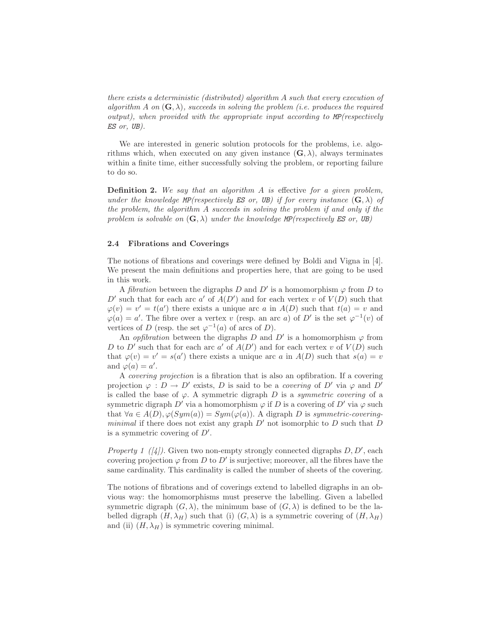there exists a deterministic (distributed) algorithm A such that every execution of algorithm A on  $(G, \lambda)$ , succeeds in solving the problem (i.e. produces the required output), when provided with the appropriate input according to MP(respectively  $ES$  or,  $UB$ ).

We are interested in generic solution protocols for the problems, i.e. algorithms which, when executed on any given instance  $(G, \lambda)$ , always terminates within a finite time, either successfully solving the problem, or reporting failure to do so.

**Definition 2.** We say that an algorithm A is effective for a given problem, under the knowledge MP(respectively ES or, UB) if for every instance  $(G, \lambda)$  of the problem, the algorithm A succeeds in solving the problem if and only if the problem is solvable on  $(G, \lambda)$  under the knowledge MP(respectively ES or, UB)

#### 2.4 Fibrations and Coverings

The notions of fibrations and coverings were defined by Boldi and Vigna in [4]. We present the main definitions and properties here, that are going to be used in this work.

A *fibration* between the digraphs D and D' is a homomorphism  $\varphi$  from D to D' such that for each arc a' of  $A(D')$  and for each vertex v of  $V(D)$  such that  $\varphi(v) = v' = t(a')$  there exists a unique arc a in  $A(D)$  such that  $t(a) = v$  and  $\varphi(a) = a'$ . The fibre over a vertex v (resp. an arc a) of D' is the set  $\varphi^{-1}(v)$  of vertices of D (resp. the set  $\varphi^{-1}(a)$  of arcs of D).

An *opfibration* between the digraphs D and D' is a homomorphism  $\varphi$  from D to D' such that for each arc a' of  $A(D')$  and for each vertex v of  $V(D)$  such that  $\varphi(v) = v' = s(a')$  there exists a unique arc a in  $A(D)$  such that  $s(a) = v'$ and  $\varphi(a) = a'$ .

A covering projection is a fibration that is also an opfibration. If a covering projection  $\varphi: D \to D'$  exists, D is said to be a *covering* of D' via  $\varphi$  and D' is called the base of  $\varphi$ . A symmetric digraph D is a symmetric covering of a symmetric digraph  $D'$  via a homomorphism  $\varphi$  if D is a covering of  $D'$  via  $\varphi$  such that  $\forall a \in A(D), \varphi(Sym(a)) = Sym(\varphi(a)).$  A digraph D is symmetric-coveringminimal if there does not exist any graph  $D'$  not isomorphic to  $D$  such that  $D$ is a symmetric covering of  $D'$ .

Property 1 ([4]). Given two non-empty strongly connected digraphs  $D, D'$ , each covering projection  $\varphi$  from D to D' is surjective; moreover, all the fibres have the same cardinality. This cardinality is called the number of sheets of the covering.

The notions of fibrations and of coverings extend to labelled digraphs in an obvious way: the homomorphisms must preserve the labelling. Given a labelled symmetric digraph  $(G, \lambda)$ , the minimum base of  $(G, \lambda)$  is defined to be the labelled digraph  $(H, \lambda_H)$  such that (i)  $(G, \lambda)$  is a symmetric covering of  $(H, \lambda_H)$ and (ii)  $(H, \lambda_H)$  is symmetric covering minimal.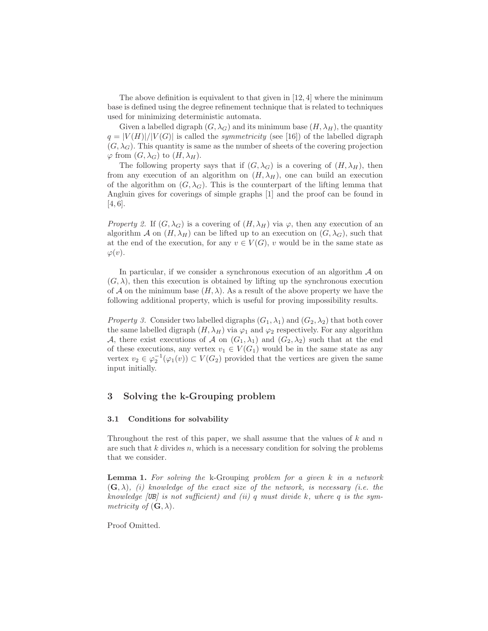The above definition is equivalent to that given in  $[12, 4]$  where the minimum base is defined using the degree refinement technique that is related to techniques used for minimizing deterministic automata.

Given a labelled digraph  $(G, \lambda_G)$  and its minimum base  $(H, \lambda_H)$ , the quantity  $q = |V(H)|/|V(G)|$  is called the *symmetricity* (see [16]) of the labelled digraph  $(G, \lambda_G)$ . This quantity is same as the number of sheets of the covering projection  $\varphi$  from  $(G, \lambda_G)$  to  $(H, \lambda_H)$ .

The following property says that if  $(G, \lambda_G)$  is a covering of  $(H, \lambda_H)$ , then from any execution of an algorithm on  $(H, \lambda_H)$ , one can build an execution of the algorithm on  $(G, \lambda_G)$ . This is the counterpart of the lifting lemma that Angluin gives for coverings of simple graphs [1] and the proof can be found in [4, 6].

*Property 2.* If  $(G, \lambda_G)$  is a covering of  $(H, \lambda_H)$  via  $\varphi$ , then any execution of an algorithm A on  $(H, \lambda_H)$  can be lifted up to an execution on  $(G, \lambda_G)$ , such that at the end of the execution, for any  $v \in V(G)$ , v would be in the same state as  $\varphi(v)$ .

In particular, if we consider a synchronous execution of an algorithm  $A$  on  $(G, \lambda)$ , then this execution is obtained by lifting up the synchronous execution of A on the minimum base  $(H, \lambda)$ . As a result of the above property we have the following additional property, which is useful for proving impossibility results.

*Property 3.* Consider two labelled digraphs  $(G_1, \lambda_1)$  and  $(G_2, \lambda_2)$  that both cover the same labelled digraph  $(H, \lambda_H)$  via  $\varphi_1$  and  $\varphi_2$  respectively. For any algorithm A, there exist executions of A on  $(G_1,\lambda_1)$  and  $(G_2,\lambda_2)$  such that at the end of these executions, any vertex  $v_1 \in V(G_1)$  would be in the same state as any vertex  $v_2 \in \varphi_2^{-1}(\varphi_1(v)) \subset V(G_2)$  provided that the vertices are given the same input initially.

# 3 Solving the k-Grouping problem

### 3.1 Conditions for solvability

Throughout the rest of this paper, we shall assume that the values of  $k$  and  $n$ are such that  $k$  divides n, which is a necessary condition for solving the problems that we consider.

**Lemma 1.** For solving the k-Grouping problem for a given  $k$  in a network  $(G, \lambda)$ , (i) knowledge of the exact size of the network, is necessary (i.e. the knowledge  $[\text{UB}]$  is not sufficient) and (ii) q must divide k, where q is the symmetricity of  $(G, \lambda)$ .

Proof Omitted.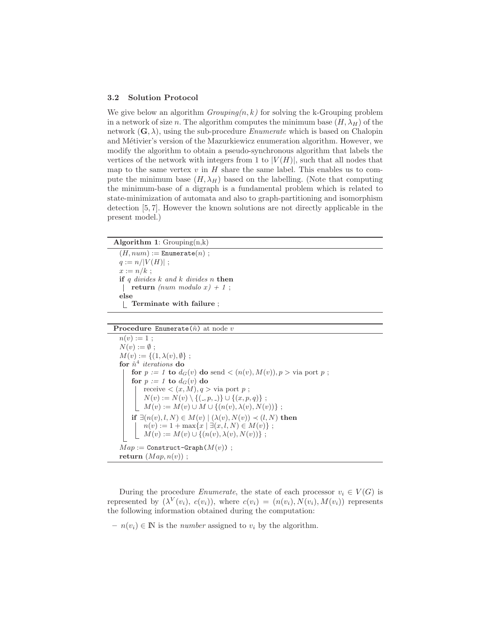#### 3.2 Solution Protocol

We give below an algorithm  $Grouping(n,k)$  for solving the k-Grouping problem in a network of size n. The algorithm computes the minimum base  $(H, \lambda_H)$  of the network  $(G, \lambda)$ , using the sub-procedure *Enumerate* which is based on Chalopin and Métivier's version of the Mazurkiewicz enumeration algorithm. However, we modify the algorithm to obtain a pseudo-synchronous algorithm that labels the vertices of the network with integers from 1 to  $|V(H)|$ , such that all nodes that map to the same vertex  $v$  in  $H$  share the same label. This enables us to compute the minimum base  $(H, \lambda_H)$  based on the labelling. (Note that computing the minimum-base of a digraph is a fundamental problem which is related to state-minimization of automata and also to graph-partitioning and isomorphism detection [5, 7]. However the known solutions are not directly applicable in the present model.)

Algorithm 1:  $Grouping(n,k)$ 

 $(H, num) :=$  Enumerate $(n)$ ;  $q := n/|V(H)|$ ;  $x := n/k$ ; if  $q$  divides  $k$  and  $k$  divides  $n$  then **return** (num modulo x) + 1; else Terminate with failure ;

### **Procedure Enumerate** $(\hat{n})$  at node v

 $n(v) := 1$ ;  $N(v) := \emptyset$ ;  $M(v) := \{(1, \lambda(v), \emptyset\};$ for  $\hat{n}^4$  iterations do for  $p := 1$  to  $d_G(v)$  do send  $\lt (n(v), M(v)), p > \text{via port } p$ ; for  $p := 1$  to  $d_G(v)$  do receive  $\langle (x, M), q \rangle$  via port p;  $N(v) := N(v) \setminus \{(\_,p,\_) \} \cup \{ (x,p,q) \}$ ;  $\Box M(v) := M(v) \cup M \cup \{(n(v), \lambda(v), N(v))\}$ ; if  $\exists (n(v), l, N) \in M(v) | (\lambda(v), N(v)) \prec (l, N)$  then  $n(v) := 1 + \max\{x \mid \exists (x, l, N) \in M(v)\};$  $M(v) := M(v) \cup \{(n(v), \lambda(v), N(v))\};$  $Map := \text{Construct-Graph}(M(v))$ ; return  $(Map, n(v))$ ;

During the procedure *Enumerate*, the state of each processor  $v_i \in V(G)$  is represented by  $(\lambda^V(v_i), c(v_i))$ , where  $c(v_i) = (n(v_i), N(v_i), M(v_i))$  represents the following information obtained during the computation:

 $- n(v_i) \in \mathbb{N}$  is the *number* assigned to  $v_i$  by the algorithm.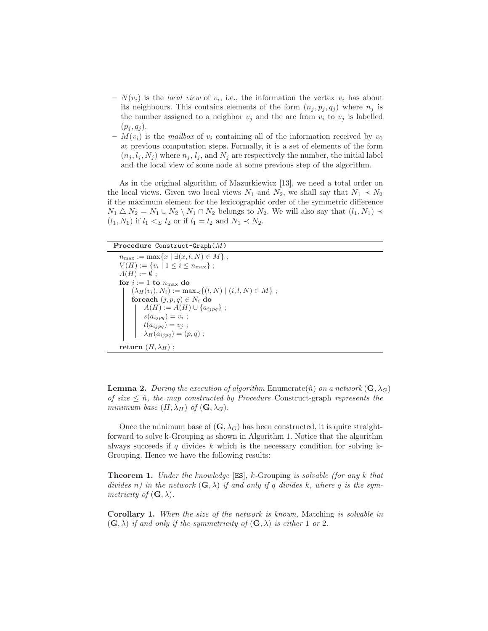- $N(v_i)$  is the *local view* of  $v_i$ , i.e., the information the vertex  $v_i$  has about its neighbours. This contains elements of the form  $(n_i, p_i, q_i)$  where  $n_i$  is the number assigned to a neighbor  $v_i$  and the arc from  $v_i$  to  $v_j$  is labelled  $(p_j, q_j)$ .
- $M(v_i)$  is the mailbox of  $v_i$  containing all of the information received by  $v_0$ at previous computation steps. Formally, it is a set of elements of the form  $(n_j, l_j, N_j)$  where  $n_j, l_j$ , and  $N_j$  are respectively the number, the initial label and the local view of some node at some previous step of the algorithm.

As in the original algorithm of Mazurkiewicz [13], we need a total order on the local views. Given two local views  $N_1$  and  $N_2$ , we shall say that  $N_1 \prec N_2$ if the maximum element for the lexicographic order of the symmetric difference  $N_1 \triangle N_2 = N_1 \cup N_2 \setminus N_1 \cap N_2$  belongs to  $N_2$ . We will also say that  $(l_1, N_1) \prec$  $(l_1,N_1)$  if  $l_1 < \sum l_2$  or if  $l_1 = l_2$  and  $N_1 \prec N_2$ .

#### Procedure Construct-Graph(M)

```
n_{\text{max}} := \max\{x \mid \exists (x, l, N) \in M\};
V(H) := \{v_i \mid 1 \leq i \leq n_{\text{max}}\};A(H) := \emptyset;
for i := 1 to n_{\max} do
     (\lambda_H(v_i), N_i) := \max_{\prec} \{ (l, N) \mid (i, l, N) \in M \};
     foreach (j, p, q) \in N_i do
          A(H) := A(H) \cup \{a_{ijpq}\};s(a_{ijpq}) = v_i ;t(a_{ijpq}) = v_j;
           \lambda_H(a_{ijpq}) = (p,q);
return (H, \lambda_H);
```
**Lemma 2.** During the execution of algorithm Enumerate( $\hat{n}$ ) on a network ( $\mathbf{G}, \lambda_G$ ) of size  $\leq \hat{n}$ , the map constructed by Procedure Construct-graph represents the minimum base  $(H, \lambda_H)$  of  $(G, \lambda_G)$ .

Once the minimum base of  $(G, \lambda_G)$  has been constructed, it is quite straightforward to solve k-Grouping as shown in Algorithm 1. Notice that the algorithm always succeeds if  $q$  divides  $k$  which is the necessary condition for solving k-Grouping. Hence we have the following results:

**Theorem 1.** Under the knowledge  $[ES]$ , k-Grouping is solvable (for any k that divides n) in the network  $(G, \lambda)$  if and only if q divides k, where q is the symmetricity of  $(G, \lambda)$ .

Corollary 1. When the size of the network is known, Matching is solvable in  $(G, \lambda)$  if and only if the symmetricity of  $(G, \lambda)$  is either 1 or 2.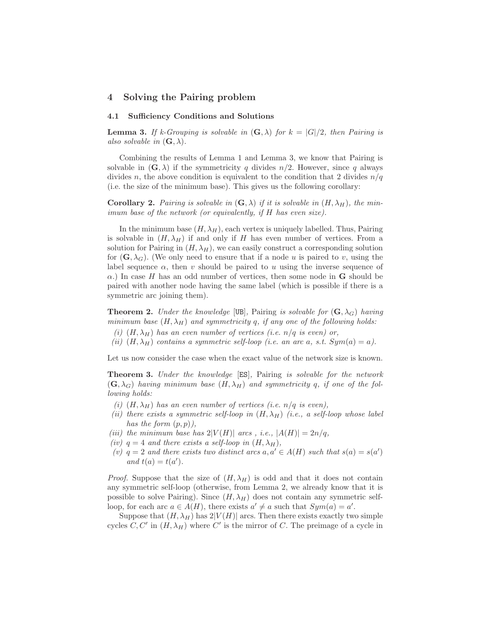### 4 Solving the Pairing problem

#### 4.1 Sufficiency Conditions and Solutions

**Lemma 3.** If k-Grouping is solvable in  $(G, \lambda)$  for  $k = |G|/2$ , then Pairing is also solvable in  $(G, \lambda)$ .

Combining the results of Lemma 1 and Lemma 3, we know that Pairing is solvable in  $(G, \lambda)$  if the symmetricity q divides  $n/2$ . However, since q always divides n, the above condition is equivalent to the condition that 2 divides  $n/q$ (i.e. the size of the minimum base). This gives us the following corollary:

**Corollary 2.** Pairing is solvable in  $(G, \lambda)$  if it is solvable in  $(H, \lambda_H)$ , the minimum base of the network (or equivalently, if H has even size).

In the minimum base  $(H, \lambda_H)$ , each vertex is uniquely labelled. Thus, Pairing is solvable in  $(H, \lambda_H)$  if and only if H has even number of vertices. From a solution for Pairing in  $(H, \lambda_H)$ , we can easily construct a corresponding solution for  $(G, \lambda_G)$ . (We only need to ensure that if a node u is paired to v, using the label sequence  $\alpha$ , then v should be paired to u using the inverse sequence of  $\alpha$ .) In case H has an odd number of vertices, then some node in G should be paired with another node having the same label (which is possible if there is a symmetric arc joining them).

**Theorem 2.** Under the knowledge [UB], Pairing is solvable for  $(G, \lambda_G)$  having minimum base  $(H, \lambda_H)$  and symmetricity q, if any one of the following holds:

- (i)  $(H, \lambda_H)$  has an even number of vertices (i.e.  $n/q$  is even) or,
- (ii)  $(H, \lambda_H)$  contains a symmetric self-loop (i.e. an arc a, s.t.  $Sym(a) = a$ ).

Let us now consider the case when the exact value of the network size is known.

Theorem 3. Under the knowledge [ES], Pairing is solvable for the network  $(G, \lambda_G)$  having minimum base  $(H, \lambda_H)$  and symmetricity q, if one of the following holds:

- (i)  $(H, \lambda_H)$  has an even number of vertices (i.e.  $n/q$  is even),
- (ii) there exists a symmetric self-loop in  $(H, \lambda_H)$  (i.e., a self-loop whose label has the form  $(p,p)$ ,
- (iii) the minimum base has  $2|V(H)|$  arcs, i.e.,  $|A(H)| = 2n/q$ ,
- (iv)  $q = 4$  and there exists a self-loop in  $(H, \lambda_H)$ ,
- (v)  $q = 2$  and there exists two distinct arcs  $a, a' \in A(H)$  such that  $s(a) = s(a')$ and  $t(a) = t(a')$ .

*Proof.* Suppose that the size of  $(H, \lambda_H)$  is odd and that it does not contain any symmetric self-loop (otherwise, from Lemma 2, we already know that it is possible to solve Pairing). Since  $(H, \lambda_H)$  does not contain any symmetric selfloop, for each arc  $a \in A(H)$ , there exists  $a' \neq a$  such that  $Sym(a) = a'$ .

Suppose that  $(H, \lambda_H)$  has  $2|V(H)|$  arcs. Then there exists exactly two simple cycles  $C, C'$  in  $(H, \lambda_H)$  where  $C'$  is the mirror of C. The preimage of a cycle in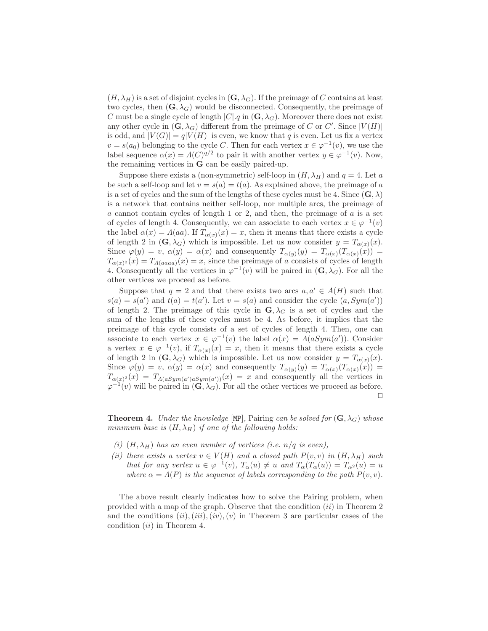$(H, \lambda_H)$  is a set of disjoint cycles in  $(G, \lambda_G)$ . If the preimage of C contains at least two cycles, then  $(G, \lambda_G)$  would be disconnected. Consequently, the preimage of C must be a single cycle of length  $|C| \cdot q$  in  $(\mathbf{G}, \lambda_G)$ . Moreover there does not exist any other cycle in  $(G, \lambda_G)$  different from the preimage of C or C'. Since  $|V(H)|$ is odd, and  $|V(G)| = q|V(H)|$  is even, we know that q is even. Let us fix a vertex  $v = s(a_0)$  belonging to the cycle C. Then for each vertex  $x \in \varphi^{-1}(v)$ , we use the label sequence  $\alpha(x) = \Lambda(C)^{q/2}$  to pair it with another vertex  $y \in \varphi^{-1}(v)$ . Now, the remaining vertices in G can be easily paired-up.

Suppose there exists a (non-symmetric) self-loop in  $(H, \lambda_H)$  and  $q = 4$ . Let a be such a self-loop and let  $v = s(a) = t(a)$ . As explained above, the preimage of a is a set of cycles and the sum of the lengths of these cycles must be 4. Since  $(G, \lambda)$ is a network that contains neither self-loop, nor multiple arcs, the preimage of a cannot contain cycles of length 1 or 2, and then, the preimage of a is a set of cycles of length 4. Consequently, we can associate to each vertex  $x \in \varphi^{-1}(v)$ the label  $\alpha(x) = \Lambda(aa)$ . If  $T_{\alpha(x)}(x) = x$ , then it means that there exists a cycle of length 2 in  $(G, \lambda_G)$  which is impossible. Let us now consider  $y = T_{\alpha(x)}(x)$ . Since  $\varphi(y) = v$ ,  $\alpha(y) = \alpha(x)$  and consequently  $T_{\alpha(y)}(y) = T_{\alpha(x)}(T_{\alpha(x)}(x)) =$  $T_{\alpha(x)^2}(x) = T_{A(aaaa)}(x) = x$ , since the preimage of a consists of cycles of length 4. Consequently all the vertices in  $\varphi^{-1}(v)$  will be paired in  $(G, \lambda_G)$ . For all the other vertices we proceed as before.

Suppose that  $q = 2$  and that there exists two arcs  $a, a' \in A(H)$  such that  $s(a) = s(a')$  and  $t(a) = t(a')$ . Let  $v = s(a)$  and consider the cycle  $(a, Sym(a'))$ of length 2. The preimage of this cycle in  $\mathbf{G}, \lambda_G$  is a set of cycles and the sum of the lengths of these cycles must be 4. As before, it implies that the preimage of this cycle consists of a set of cycles of length 4. Then, one can associate to each vertex  $x \in \varphi^{-1}(v)$  the label  $\alpha(x) = \Lambda(aSym(a'))$ . Consider a vertex  $x \in \varphi^{-1}(v)$ , if  $T_{\alpha(x)}(x) = x$ , then it means that there exists a cycle of length 2 in  $(G, \lambda_G)$  which is impossible. Let us now consider  $y = T_{\alpha(x)}(x)$ . Since  $\varphi(y) = v$ ,  $\alpha(y) = \alpha(x)$  and consequently  $T_{\alpha(y)}(y) = T_{\alpha(x)}(T_{\alpha(x)}(x))$  $T_{\alpha(x)^2}(x) = T_{A(aSym(a')aSym(a'))}(x) = x$  and consequently all the vertices in  $\varphi^{-1}(v)$  will be paired in  $(G, \lambda_G)$ . For all the other vertices we proceed as before. ⊓⊔

**Theorem 4.** Under the knowledge [MP], Pairing can be solved for  $(G, \lambda_G)$  whose minimum base is  $(H, \lambda_H)$  if one of the following holds:

- (i)  $(H, \lambda_H)$  has an even number of vertices (i.e.  $n/q$  is even),
- (ii) there exists a vertex  $v \in V(H)$  and a closed path  $P(v, v)$  in  $(H, \lambda_H)$  such that for any vertex  $u \in \varphi^{-1}(v)$ ,  $T_\alpha(u) \neq u$  and  $T_\alpha(T_\alpha(u)) = T_{\alpha^2}(u) = u$ where  $\alpha = \Lambda(P)$  is the sequence of labels corresponding to the path  $P(v, v)$ .

The above result clearly indicates how to solve the Pairing problem, when provided with a map of the graph. Observe that the condition  $(ii)$  in Theorem 2 and the conditions  $(ii), (iii), (iv), (v)$  in Theorem 3 are particular cases of the condition  $(ii)$  in Theorem 4.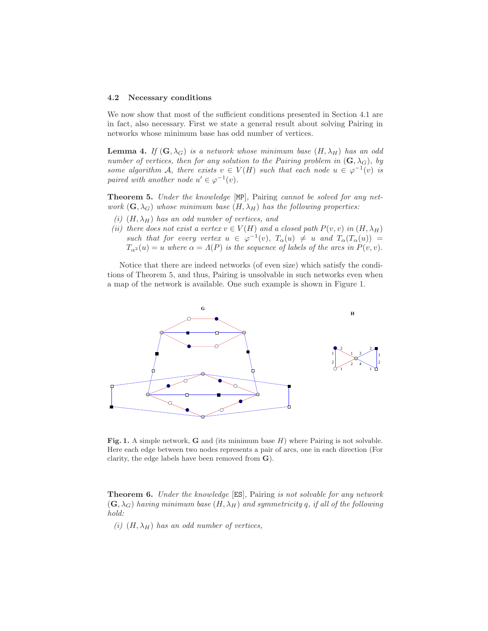#### 4.2 Necessary conditions

We now show that most of the sufficient conditions presented in Section 4.1 are in fact, also necessary. First we state a general result about solving Pairing in networks whose minimum base has odd number of vertices.

**Lemma 4.** If  $(G, \lambda_G)$  is a network whose minimum base  $(H, \lambda_H)$  has an odd number of vertices, then for any solution to the Pairing problem in  $(G, \lambda_G)$ , by some algorithm A, there exists  $v \in V(H)$  such that each node  $u \in \varphi^{-1}(v)$  is paired with another node  $u' \in \varphi^{-1}(v)$ .

Theorem 5. Under the knowledge [MP], Pairing cannot be solved for any network  $(G, \lambda_G)$  whose minimum base  $(H, \lambda_H)$  has the following properties:

- (i)  $(H, \lambda_H)$  has an odd number of vertices, and
- (ii) there does not exist a vertex  $v \in V(H)$  and a closed path  $P(v, v)$  in  $(H, \lambda_H)$ such that for every vertex  $u \in \varphi^{-1}(v)$ ,  $T_\alpha(u) \neq u$  and  $T_\alpha(T_\alpha(u)) =$  $T_{\alpha^2}(u) = u$  where  $\alpha = \Lambda(P)$  is the sequence of labels of the arcs in  $P(v, v)$ .

Notice that there are indeed networks (of even size) which satisfy the conditions of Theorem 5, and thus, Pairing is unsolvable in such networks even when a map of the network is available. One such example is shown in Figure 1.



Fig. 1. A simple network, G and (its minimum base H) where Pairing is not solvable. Here each edge between two nodes represents a pair of arcs, one in each direction (For clarity, the edge labels have been removed from G).

Theorem 6. Under the knowledge [ES], Pairing is not solvable for any network  $(G, \lambda_G)$  having minimum base  $(H, \lambda_H)$  and symmetricity q, if all of the following hold:

(i)  $(H, \lambda_H)$  has an odd number of vertices,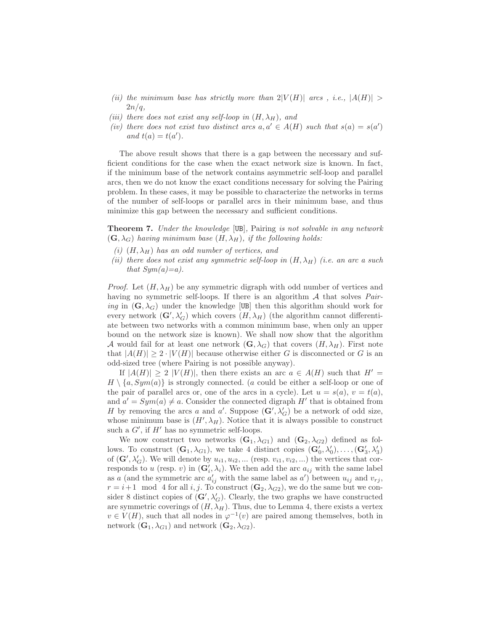- (ii) the minimum base has strictly more than  $2|V(H)|$  arcs, i.e.,  $|A(H)| >$  $2n/q$ ,
- (iii) there does not exist any self-loop in  $(H, \lambda_H)$ , and
- (iv) there does not exist two distinct arcs  $a, a' \in A(H)$  such that  $s(a) = s(a')$ and  $t(a) = t(a')$ .

The above result shows that there is a gap between the necessary and sufficient conditions for the case when the exact network size is known. In fact, if the minimum base of the network contains asymmetric self-loop and parallel arcs, then we do not know the exact conditions necessary for solving the Pairing problem. In these cases, it may be possible to characterize the networks in terms of the number of self-loops or parallel arcs in their minimum base, and thus minimize this gap between the necessary and sufficient conditions.

**Theorem 7.** Under the knowledge [UB], Pairing is not solvable in any network  $(G, \lambda_G)$  having minimum base  $(H, \lambda_H)$ , if the following holds:

- (i)  $(H, \lambda_H)$  has an odd number of vertices, and
- (ii) there does not exist any symmetric self-loop in  $(H, \lambda_H)$  (i.e. an arc a such that  $Sum(a)=a$ ).

*Proof.* Let  $(H, \lambda_H)$  be any symmetric digraph with odd number of vertices and having no symmetric self-loops. If there is an algorithm  $A$  that solves  $Pair$ ing in  $(G, \lambda_G)$  under the knowledge [UB] then this algorithm should work for every network  $(\mathbf{G}', \lambda'_G)$  which covers  $(H, \lambda_H)$  (the algorithm cannot differentiate between two networks with a common minimum base, when only an upper bound on the network size is known). We shall now show that the algorithm A would fail for at least one network  $(G, \lambda_G)$  that covers  $(H, \lambda_H)$ . First note that  $|A(H)| \geq 2 \cdot |V(H)|$  because otherwise either G is disconnected or G is an odd-sized tree (where Pairing is not possible anyway).

If  $|A(H)| \ge 2 |V(H)|$ , then there exists an arc  $a \in A(H)$  such that  $H' =$  $H \setminus \{a, Sym(a)\}\$ is strongly connected. (a could be either a self-loop or one of the pair of parallel arcs or, one of the arcs in a cycle). Let  $u = s(a)$ ,  $v = t(a)$ , and  $a' = Sym(a) \neq a$ . Consider the connected digraph H' that is obtained from H by removing the arcs a and a'. Suppose  $(\mathbf{G}', \lambda'_G)$  be a network of odd size, whose minimum base is  $(H', \lambda_H)$ . Notice that it is always possible to construct such a  $G'$ , if  $H'$  has no symmetric self-loops.

We now construct two networks  $(G_1, \lambda_{G1})$  and  $(G_2, \lambda_{G2})$  defined as follows. To construct  $(G_1, \lambda_{G_1})$ , we take 4 distinct copies  $(G'_0, \lambda'_0), \ldots, (G'_3, \lambda'_3)$ of  $(G', \lambda'_G)$ . We will denote by  $u_{i1}, u_{i2}, \dots$  (resp.  $v_{i1}, v_{i2}, \dots$ ) the vertices that corresponds to u (resp. v) in  $(G'_i, \lambda_i)$ . We then add the arc  $a_{ij}$  with the same label as a (and the symmetric arc  $a'_{ij}$  with the same label as a') between  $u_{ij}$  and  $v_{rj}$ ,  $r = i+1 \mod 4$  for all i, j. To construct  $(G_2, \lambda_{G_2})$ , we do the same but we consider 8 distinct copies of  $(G', \lambda'_G)$ . Clearly, the two graphs we have constructed are symmetric coverings of  $(H, \lambda_H)$ . Thus, due to Lemma 4, there exists a vertex  $v \in V(H)$ , such that all nodes in  $\varphi^{-1}(v)$  are paired among themselves, both in network  $(\mathbf{G}_1, \lambda_{G1})$  and network  $(\mathbf{G}_2, \lambda_{G2})$ .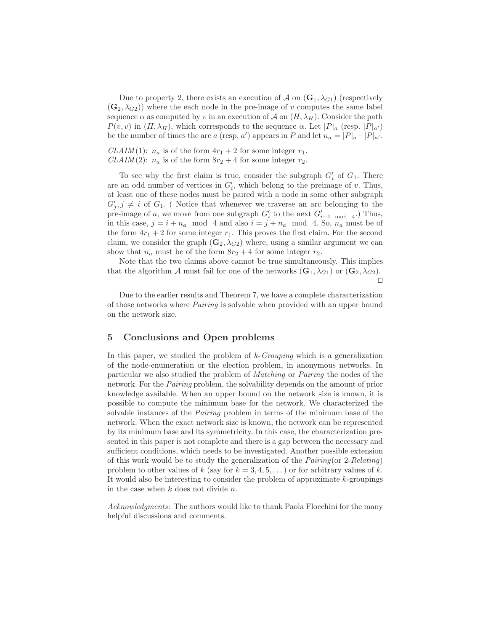Due to property 2, there exists an execution of  $\mathcal A$  on  $(\mathbf{G}_1,\lambda_{G1})$  (respectively  $(G_2, \lambda_{G_2})$  where the each node in the pre-image of v computes the same label sequence  $\alpha$  as computed by v in an execution of  $\mathcal A$  on  $(H, \lambda_H)$ . Consider the path  $P(v, v)$  in  $(H, \lambda_H)$ , which corresponds to the sequence  $\alpha$ . Let  $|P|_{a}$  (resp.  $|P|_{a'}$ ) be the number of times the arc a (resp, a') appears in P and let  $n_a = |P|_a - |P|_a$ .

CLAIM(1):  $n_a$  is of the form  $4r_1 + 2$  for some integer  $r_1$ .  $CLAIM(2): n_a$  is of the form  $8r_2 + 4$  for some integer  $r_2$ .

To see why the first claim is true, consider the subgraph  $G'_{i}$  of  $G_{1}$ . There are an odd number of vertices in  $G'_{i}$ , which belong to the preimage of v. Thus, at least one of these nodes must be paired with a node in some other subgraph  $G'_{j}, j \neq i$  of  $G_1$ . (Notice that whenever we traverse an arc belonging to the pre-image of a, we move from one subgraph  $G'_{i}$  to the next  $G'_{i+1}$  mod 4.) Thus, in this case,  $j = i + n_a \mod 4$  and also  $i = j + n_a \mod 4$ . So,  $n_a$  must be of the form  $4r_1 + 2$  for some integer  $r_1$ . This proves the first claim. For the second claim, we consider the graph  $(G_2, \lambda_{G_2})$  where, using a similar argument we can show that  $n_a$  must be of the form  $8r_2 + 4$  for some integer  $r_2$ .

Note that the two claims above cannot be true simultaneously. This implies that the algorithm A must fail for one of the networks  $(G_1, \lambda_{G1})$  or  $(G_2, \lambda_{G2})$ . ⊓⊔

Due to the earlier results and Theorem 7, we have a complete characterization of those networks where Pairing is solvable when provided with an upper bound on the network size.

## 5 Conclusions and Open problems

In this paper, we studied the problem of  $k$ -Grouping which is a generalization of the node-enumeration or the election problem, in anonymous networks. In particular we also studied the problem of Matching or Pairing the nodes of the network. For the Pairing problem, the solvability depends on the amount of prior knowledge available. When an upper bound on the network size is known, it is possible to compute the minimum base for the network. We characterized the solvable instances of the *Pairing* problem in terms of the minimum base of the network. When the exact network size is known, the network can be represented by its minimum base and its symmetricity. In this case, the characterization presented in this paper is not complete and there is a gap between the necessary and sufficient conditions, which needs to be investigated. Another possible extension of this work would be to study the generalization of the  $Pairing$  (or 2-Relating) problem to other values of k (say for  $k = 3, 4, 5, \ldots$ ) or for arbitrary values of k. It would also be interesting to consider the problem of approximate k-groupings in the case when  $k$  does not divide  $n$ .

Acknowledgments: The authors would like to thank Paola Flocchini for the many helpful discussions and comments.